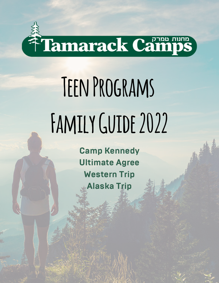

# **Teen Programs Family Guide 2022**

**Camp Kennedy Ultimate Agree Western Trip Alaska Trip**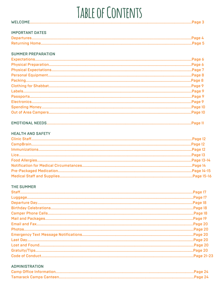# TABLE OF CONTENTS

| <b>IMPORTANT DATES</b>    |  |
|---------------------------|--|
|                           |  |
|                           |  |
|                           |  |
| <b>SUMMER PREPARATION</b> |  |
|                           |  |
|                           |  |
|                           |  |
|                           |  |
|                           |  |
|                           |  |
|                           |  |
|                           |  |
|                           |  |
|                           |  |
|                           |  |
|                           |  |
|                           |  |
|                           |  |
| <b>HEALTH AND SAFETY</b>  |  |
|                           |  |
|                           |  |
|                           |  |
|                           |  |
|                           |  |
|                           |  |
|                           |  |
|                           |  |
|                           |  |
| <b>THE SUMMER</b>         |  |
|                           |  |
|                           |  |
|                           |  |
|                           |  |
|                           |  |
|                           |  |
|                           |  |
|                           |  |
|                           |  |
|                           |  |
|                           |  |
|                           |  |
|                           |  |

#### **ADMINISTRATION**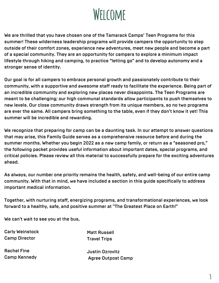### **Welcome**

We are thrilled that you have chosen one of the Tamarack Camps' Teen Programs for this summer! These wilderness leadership programs will provide campers the opportunity to step outside of their comfort zones, experience new adventures, meet new people and become a part of a special community. They are an opportunity for campers to explore a minimum impact lifestyle through hiking and camping, to practice "letting go" and to develop autonomy and a stronger sense of identity.

Our goal is for all campers to embrace personal growth and passionately contribute to their community, with a supportive and awesome staff ready to facilitate the experience. Being part of an incredible community and exploring new places never disappoints. The Teen Programs are meant to be challenging; our high communal standards allow participants to push themselves to new levels. Our close community draws strength from its unique members, so no two programs are ever the same. All campers bring something to the table, even if they don't know it yet! This summer will be incredible and rewarding.

We recognize that preparing for camp can be a daunting task. In our attempt to answer questions that may arise, this Family Guide serves as a comprehensive resource before and during the summer months. Whether you begin 2022 as a new camp family, or return as a "seasoned pro," the following packet provides useful information about important dates, special programs, and critical policies. Please review all this material to successfully prepare for the exciting adventures ahead.

As always, our number one priority remains the health, safety, and well-being of our entire camp community. With that in mind, we have included a section in this guide specifically to address important medical information.

Together, with nurturing staff, energizing programs, and transformational experiences, we look forward to a healthy, safe, and positive summer at "The Greatest Place on Earth!"

We can't wait to see you at the bus,

Carly Weinstock Camp Director

Rachel Fine Camp Kennedy Matt Russell Travel Trips

Justin Ozrovitz Agree Outpost Camp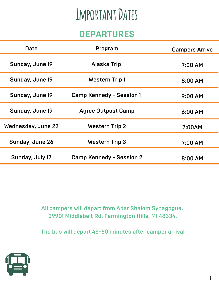## **Important Dates**

### **DEPARTURES**

| <b>Date</b>        | Program                         | <b>Campers Arrive</b> |
|--------------------|---------------------------------|-----------------------|
| Sunday, June 19    | <b>Alaska Trip</b>              | 7:00AM                |
| Sunday, June 19    | <b>Western Trip 1</b>           | 8:00 AM               |
| Sunday, June 19    | <b>Camp Kennedy - Session 1</b> | $9:00$ AM             |
| Sunday, June 19    | <b>Agree Outpost Camp</b>       | $6:00$ AM             |
| Wednesday, June 22 | <b>Western Trip 2</b>           | 7:00AM                |
| Sunday, June 26    | <b>Western Trip 3</b>           | 7:00 AM               |
| Sunday, July 17    | <b>Camp Kennedy - Session 2</b> | 8:00 AM               |

All campers will depart from Adat Shalom Synagogue, 29901 Middlebelt Rd, Farmington Hills, MI 48334.

The bus will depart 45-60 minutes after camper arrival

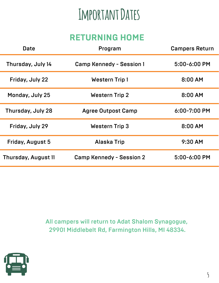### **Important Dates**

### **RETURNING HOME**

| Date                | Program                         | <b>Campers Return</b> |
|---------------------|---------------------------------|-----------------------|
| Thursday, July 14   | <b>Camp Kennedy - Session 1</b> | 5:00-6:00 PM          |
| Friday, July 22     | <b>Western Trip 1</b>           | 8:00 AM               |
| Monday, July 25     | <b>Western Trip 2</b>           | 8:00 AM               |
| Thursday, July 28   | <b>Agree Outpost Camp</b>       | 6:00-7:00 PM          |
| Friday, July 29     | <b>Western Trip 3</b>           | 8:00 AM               |
| Friday, August 5    | <b>Alaska Trip</b>              | 9:30 AM               |
| Thursday, August 11 | <b>Camp Kennedy - Session 2</b> | 5:00-6:00 PM          |

All campers will return to Adat Shalom Synagogue, 29901 Middlebelt Rd, Farmington Hills, MI 48334.

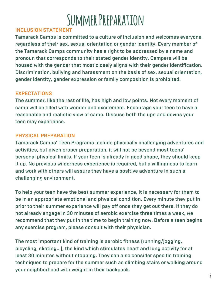

### INCLUSION STATEMENT

Tamarack Camps is committed to a culture of inclusion and welcomes everyone, regardless of their sex, sexual orientation or gender identity. Every member of the Tamarack Camps community has a right to be addressed by a name and pronoun that corresponds to their stated gender identity. Campers will be housed with the gender that most closely aligns with their gender identification. Discrimination, bullying and harassment on the basis of sex, sexual orientation, gender identity, gender expression or family composition is prohibited.

#### **EXPECTATIONS**

The summer, like the rest of life, has high and low points. Not every moment of camp will be filled with wonder and excitement. Encourage your teen to have a reasonable and realistic view of camp. Discuss both the ups and downs your teen may experience.

#### PHYSICAL PREPARATION

Tamarack Camps' Teen Programs include physically challenging adventures and activities, but given proper preparation, it will not be beyond most teens' personal physical limits. If your teen is already in good shape, they should keep it up. No previous wilderness experience is required, but a willingness to learn and work with others will assure they have a positive adventure in such a challenging environment.

To help your teen have the best summer experience, it is necessary for them to be in an appropriate emotional and physical condition. Every minute they put in prior to their summer experience will pay off once they get out there. If they do not already engage in 30 minutes of aerobic exercise three times a week, we recommend that they put in the time to begin training now. Before a teen begins any exercise program, please consult with their physician.

The most important kind of training is aerobic fitness (running/jogging, bicycling, skating...), the kind which stimulates heart and lung activity for at least 30 minutes without stopping. They can also consider specific training techniques to prepare for the summer such as climbing stairs or walking around your neighborhood with weight in their backpack.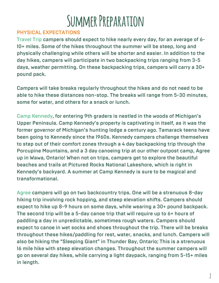

### PHYSICAL EXPECTATIONS

Travel Trip campers should expect to hike nearly every day, for an average of 6- 10+ miles. Some of the hikes throughout the summer will be steep, long and physically challenging while others will be shorter and easier. In addition to the day hikes, campers will participate in two backpacking trips ranging from 3-5 days, weather permitting. On these backpacking trips, campers will carry a 30+ pound pack.

Campers will take breaks regularly throughout the hikes and do not need to be able to hike these distances non-stop. The breaks will range from 5-30 minutes, some for water, and others for a snack or lunch.

Camp Kennedy, for entering 9th graders is nestled in the woods of Michigan's Upper Peninsula. Camp Kennedy's property is captivating in itself, as it was the former governor of Michigan's hunting lodge a century ago. Tamarack teens have been going to Kennedy since the 1960s. Kennedy campers challenge themselves to step out of their comfort zones through a 4 day backpacking trip through the Porcupine Mountains, and a 3 day canoeing trip at our other outpost camp, Agree up in Wawa, Ontario! When not on trips, campers get to explore the beautiful beaches and trails at Pictured Rocks National Lakeshore, which is right in Kennedy's backyard. A summer at Camp Kennedy is sure to be magical and transformational.

Agree campers will go on two backcountry trips. One will be a strenuous 8-day hiking trip involving rock hopping, and steep elevation shifts. Campers should expect to hike up 8-9 hours on some days, while wearing a 30+ pound backpack. The second trip will be a 5-day canoe trip that will require up to 6+ hours of paddling a day in unpredictable, sometimes rough waters. Campers should expect to canoe in wet socks and shoes throughout the trip. There will be breaks throughout these hikes/paddling for rest, water, snacks, and lunch. Campers will also be hiking the "Sleeping Giant" in Thunder Bay, Ontario; This is a strenuous 16 mile hike with steep elevation changes. Throughout the summer campers will go on several day hikes, while carrying a light daypack, ranging from 5-15+ miles in length.

**7**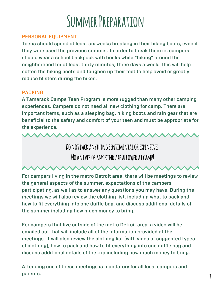### **Summer Preparation**

### PERSONAL EQUIPMENT

Teens should spend at least six weeks breaking in their hiking boots, even if they were used the previous summer. In order to break them in, campers should wear a school backpack with books while "hiking" around the neighborhood for at least thirty minutes, three days a week. This will help soften the hiking boots and toughen up their feet to help avoid or greatly reduce blisters during the hikes.

### PACKING

A Tamarack Camps Teen Program is more rugged than many other camping experiences. Campers do not need all new clothing for camp. There are important items, such as a sleeping bag, hiking boots and rain gear that are beneficial to the safety and comfort of your teen and must be appropriate for the experience.

> **Do not pack anything sentimental or expensive! No knives of any kind are allowed at camp!**

For campers living in the metro Detroit area, there will be meetings to review the general aspects of the summer, expectations of the campers participating, as well as to answer any questions you may have. During the meetings we will also review the clothing list, including what to pack and how to fit everything into one duffle bag, and discuss additional details of the summer including how much money to bring.

For campers that live outside of the metro Detroit area, a video will be emailed out that will include all of the information provided at the meetings. It will also review the clothing list (with video of suggested types of clothing), how to pack and how to fit everything into one duffle bag and discuss additional details of the trip including how much money to bring.

Attending one of these meetings is mandatory for all local campers and parents.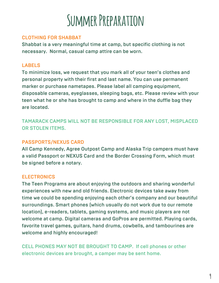### **Summer Preparation**

### CLOTHING FOR SHABBAT

Shabbat is a very meaningful time at camp, but specific clothing is not necessary. Normal, casual camp attire can be worn.

### LABELS

To minimize loss, we request that you mark all of your teen's clothes and personal property with their first and last name. You can use permanent marker or purchase nametapes. Please label all camping equipment, disposable cameras, eyeglasses, sleeping bags, etc. Please review with your teen what he or she has brought to camp and where in the duffle bag they are located.

TAMARACK CAMPS WILL NOT BE RESPONSIBLE FOR ANY LOST, MISPLACED OR STOLEN ITEMS.

### PASSPORTS/NEXUS CARD

All Camp Kennedy, Agree Outpost Camp and Alaska Trip campers must have a valid Passport or NEXUS Card and the Border Crossing Form, which must be signed before a notary.

### **ELECTRONICS**

The Teen Programs are about enjoying the outdoors and sharing wonderful experiences with new and old friends. Electronic devices take away from time we could be spending enjoying each other's company and our beautiful surroundings. Smart phones (which usually do not work due to our remote location), e-readers, tablets, gaming systems, and music players are not welcome at camp. Digital cameras and GoPros are permitted. Playing cards, favorite travel games, guitars, hand drums, cowbells, and tambourines are welcome and highly encouraged!

CELL PHONES MAY NOT BE BROUGHT TO CAMP. If cell phones or other electronic devices are brought, a camper may be sent home.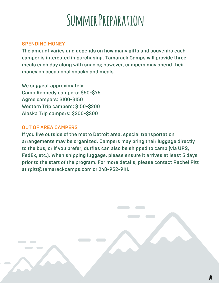### **Summer Preparation**

### SPENDING MONEY

The amount varies and depends on how many gifts and souvenirs each camper is interested in purchasing. Tamarack Camps will provide three meals each day along with snacks; however, campers may spend their money on occasional snacks and meals.

We suggest approximately: Camp Kennedy campers: \$50-\$75 Agree campers: \$100-\$150 Western Trip campers: \$150-\$200 Alaska Trip campers: \$200-\$300

### OUT OF AREA CAMPERS

If you live outside of the metro Detroit area, special transportation arrangements may be organized. Campers may bring their luggage directly to the bus, or if you prefer, duffles can also be shipped to camp (via UPS, FedEx, etc.). When shipping luggage, please ensure it arrives at least 5 days prior to the start of the program. For more details, please contact Rachel Pitt at rpitt@tamarackcamps.com or 248-952-9111.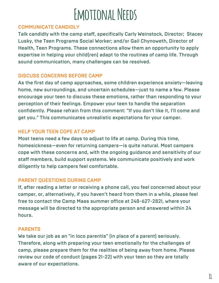### **Emotional Needs**

### COMMUNICATE CANDIDLY

Talk candidly with the camp staff, specifically Carly Weinstock, Director; Stacey Lusky, the Teen Programs Social Worker; and/or Gail Chynoweth, Director of Health, Teen Programs. These connections allow them an opportunity to apply expertise in helping your child(ren) adapt to the routines of camp life. Through sound communication, many challenges can be resolved.

### DISCUSS CONCERNS BEFORE CAMP

As the first day of camp approaches, some children experience anxiety—leaving home, new surroundings, and uncertain schedules—just to name a few. Please encourage your teen to discuss these emotions, rather than responding to your perception of their feelings. Empower your teen to handle the separation confidently. Please refrain from this comment: "If you don't like it, I'll come and get you." This communicates unrealistic expectations for your camper.

### HELP YOUR TEEN COPE AT CAMP

Most teens need a few days to adjust to life at camp. During this time, homesickness—even for returning campers—is quite natural. Most campers cope with these concerns and, with the ongoing guidance and sensitivity of our staff members, build support systems. We communicate positively and work diligently to help campers feel comfortable.

### PARENT QUESTIONS DURING CAMP

If, after reading a letter or receiving a phone call, you feel concerned about your camper, or, alternatively, if you haven't heard from them in a while, please feel free to contact the Camp Maas summer office at 248-627-2821, where your message will be directed to the appropriate person and answered within 24 hours.

#### PARENTS

We take our job as an "in loco parentis" (in place of a parent) seriously. Therefore, along with preparing your teen emotionally for the challenges of camp, please prepare them for the realities of being away from home. Please review our code of conduct (pages 21-22) with your teen so they are totally aware of our expectations.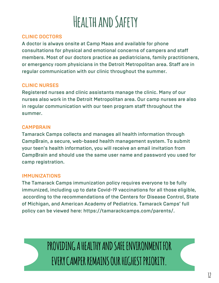### CLINIC DOCTORS

A doctor is always onsite at Camp Maas and available for phone consultations for physical and emotional concerns of campers and staff members. Most of our doctors practice as pediatricians, family practitioners, or emergency room physicians in the Detroit Metropolitan area. Staff are in regular communication with our clinic throughout the summer.

### CLINIC NURSES

Registered nurses and clinic assistants manage the clinic. Many of our nurses also work in the Detroit Metropolitan area. Our camp nurses are also in regular communication with our teen program staff throughout the summer.

#### **CAMPBRAIN**

Tamarack Camps collects and manages all health information through CampBrain, a secure, web-based health management system. To submit your teen's health information, you will receive an email invitation from CampBrain and should use the same user name and password you used for camp registration.

#### IMMUNIZATIONS

The Tamarack Camps immunization policy requires everyone to be fully immunized, including up to date Covid-19 vaccinations for all those eligible, according to the recommendations of the Centers for Disease Control, State of Michigan, and American Academy of Pediatrics. Tamarack Camps' full policy can be viewed here: https://tamarackcamps.com/parents/.

### **PROVIDING A HEALTHY AND SAFE ENVIRONMENT FOR EVERY CAMPER REMAINS OUR HIGHEST PRIORITY.**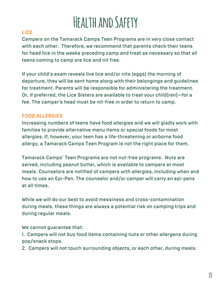### LICE

Campers on the Tamarack Camps Teen Programs are in very close contact with each other. Therefore, we recommend that parents check their teens for head lice in the weeks preceding camp and treat as necessary so that all teens coming to camp are lice and nit free.

If your child's exam reveals live lice and/or nits (eggs) the morning of departure, they will be sent home along with their belongings and guidelines for treatment. Parents will be responsible for administering the treatment. Or, if preferred, the Lice Sisters are available to treat your child(ren)—for a fee. The camper's head must be nit-free in order to return to camp.

### FOOD ALLERGIES

Increasing numbers of teens have food allergies and we will gladly work with families to provide alternative menu items or special foods for most allergies. If, however, your teen has a life-threatening or airborne food allergy, a Tamarack Camps Teen Program is not the right place for them.

Tamarack Camps' Teen Programs are not nut-free programs. Nuts are served, including peanut butter, which is available to campers at most meals. Counselors are notified of campers with allergies, including when and how to use an Epi-Pen. The counselor and/or camper will carry an epi-pens at all times.

While we will do our best to avoid messiness and cross-contamination during meals, these things are always a potential risk on camping trips and during regular meals.

We cannot guarantee that:

1. Campers will not buy food items containing nuts or other allergens during pop/snack stops.

2. Campers will not touch surrounding objects, or each other, during meals.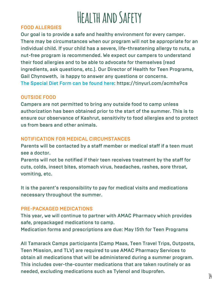### FOOD ALLERGIES

Our goal is to provide a safe and healthy environment for every camper. There may be circumstances when our program will not be appropriate for an individual child. If your child has a severe, life-threatening allergy to nuts, a nut-free program is recommended. We expect our campers to understand their food allergies and to be able to advocate for themselves (read ingredients, ask questions, etc.). Our Director of Health for Teen Programs, Gail Chynoweth, is happy to answer any questions or concerns. The Special Diet Form can be found here: https://tinyurl.com/acmhs9cs

### OUTSIDE FOOD

Campers are not permitted to bring any outside food to camp unless authorization has been obtained prior to the start of the summer. This is to ensure our observance of Kashrut, sensitivity to food allergies and to protect us from bears and other animals.

### NOTIFICATION FOR MEDICAL CIRCUMSTANCES

Parents will be contacted by a staff member or medical staff if a teen must see a doctor.

Parents will not be notified if their teen receives treatment by the staff for cuts, colds, insect bites, stomach virus, headaches, rashes, sore throat, vomiting, etc.

It is the parent's responsibility to pay for medical visits and medications necessary throughout the summer.

#### PRE-PACKAGED MEDICATIONS

This year, we will continue to partner with AMAC Pharmacy which provides safe, prepackaged medications to camp.

Medication forms and prescriptions are due: May 15th for Teen Programs

All Tamarack Camps participants (Camp Maas, Teen Travel Trips, Outposts, Teen Mission, and TLV) are required to use AMAC Pharmacy Services to obtain all medications that will be administered during a summer program. This includes over-the-counter medications that are taken routinely or as needed, excluding medications such as Tylenol and Ibuprofen.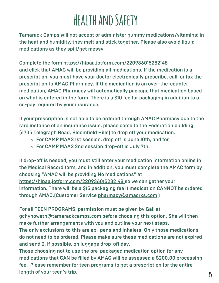Tamarack Camps will not accept or administer gummy medications/vitamins; in the heat and humidity, they melt and stick together. Please also avoid liquid medications as they spill/get messy.

Complete the form <https://hipaa.jotform.com/220936015282148> and click that AMAC will be providing all medications. If the medication is a prescription, you must have your doctor electronically prescribe, call, or fax the prescription to AMAC Pharmacy. If the medication is an over-the-counter medication, AMAC Pharmacy will automatically package that medication based on what is entered in the form. There is a \$10 fee for packaging in addition to a co-pay required by your insurance.

If your prescription is not able to be ordered through AMAC Pharmacy due to the rare instance of an insurance issue, please come to the Federation building (6735 Telegraph Road, Bloomfield Hills) to drop off your medication.

- For CAMP MAAS 1st session, drop off is June 10th, and for
- For CAMP MAAS 2nd session drop-off is July 7th.

length of your teen's trip.

If drop-off is needed, you must still enter your medication information online in the Medical Record form, and in addition, you must complete the AMAC form by choosing "AMAC will be providing No [medications"](https://hipaa.jotform.com/220936015282148) at <https://hipaa.jotform.com/220936015282148> so we can gather your information. There will be a \$15 packaging fee if medication CANNOT be ordered through AMAC.(Customer Service [pharmacy@amacrxs.com](mailto:pharmacy@amacrxs.com) )

For all TEEN PROGRAMS, permission must be given by Gail at gchynoweth@tamarackcamps.com before choosing this option. She will then make further arrangements with you and outline your next steps. The only exclusions to this are epi-pens and inhalers. Only those medications do not need to be ordered. Please make sure these medications are not expired and send 2, if possible, on luggage drop-off day. Those choosing not to use the pre-packaged medication option for any medications that CAN be filled by AMAC will be assessed a \$200.00 processing fee. Please remember for teen programs to get a prescription for the entire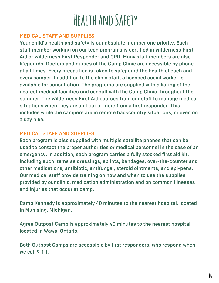### MEDICAL STAFF AND SUPPLIES

Your child's health and safety is our absolute, number one priority. Each staff member working on our teen programs is certified in Wilderness First Aid or Wilderness First Responder and CPR. Many staff members are also lifeguards. Doctors and nurses at the Camp Clinic are accessible by phone at all times. Every precaution is taken to safeguard the health of each and every camper. In addition to the clinic staff, a licensed social worker is available for consultation. The programs are supplied with a listing of the nearest medical facilities and consult with the Camp Clinic throughout the summer. The Wilderness First Aid courses train our staff to manage medical situations when they are an hour or more from a first responder. This includes while the campers are in remote backcountry situations, or even on a day hike.

### MEDICAL STAFF AND SUPPLIES

Each program is also supplied with multiple satellite phones that can be used to contact the proper authorities or medical personnel in the case of an emergency. In addition, each program carries a fully stocked first aid kit, including such items as dressings, splints, bandages, over-the-counter and other medications, antibiotic, antifungal, steroid ointments, and epi-pens. Our medical staff provide training on how and when to use the supplies provided by our clinic, medication administration and on common illnesses and injuries that occur at camp.

Camp Kennedy is approximately 40 minutes to the nearest hospital, located in Munising, Michigan.

Agree Outpost Camp is approximately 40 minutes to the nearest hospital, located in Wawa, Ontario.

Both Outpost Camps are accessible by first responders, who respond when we call 9-1-1.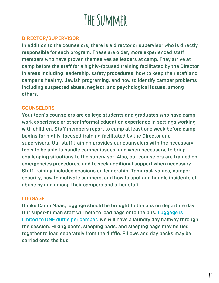

### DIRECTOR/SUPERVISOR

In addition to the counselors, there is a director or supervisor who is directly responsible for each program. These are older, more experienced staff members who have proven themselves as leaders at camp. They arrive at camp before the staff for a highly-focused training facilitated by the Director in areas including leadership, safety procedures, how to keep their staff and camper's healthy, Jewish programing, and how to identify camper problems including suspected abuse, neglect, and psychological issues, among others.

### **COUNSELORS**

Your teen's counselors are college students and graduates who have camp work experience or other informal education experience in settings working with children. Staff members report to camp at least one week before camp begins for highly-focused training facilitated by the Director and supervisors. Our staff training provides our counselors with the necessary tools to be able to handle camper issues, and when necessary, to bring challenging situations to the supervisor. Also, our counselors are trained on emergencies procedures, and to seek additional support when necessary. Staff training includes sessions on leadership, Tamarack values, camper security, how to motivate campers, and how to spot and handle incidents of abuse by and among their campers and other staff.

### LUGGAGE

Unlike Camp Maas, luggage should be brought to the bus on departure day. Our super-human staff will help to load bags onto the bus. Luggage is limited to ONE duffle per camper. We will have a laundry day halfway through the session. Hiking boots, sleeping pads, and sleeping bags may be tied together to load separately from the duffle. Pillows and day packs may be carried onto the bus.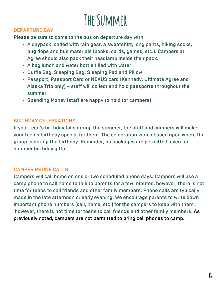

#### DEPARTURE DAY

Please be sure to come to the bus on departure day with:

- A daypack loaded with rain gear, a sweatshirt, long pants, hiking socks, bug dope and bus materials (books, cards, games, etc.). Campers at Agree should also pack their headlamp inside their pack.
- A bag lunch and water bottle filled with water
- Duffle Bag, Sleeping Bag, Sleeping Pad and Pillow
- Passport, Passport Card or NEXUS card (Kennedy, Ultimate Agree and Alaska Trip only) – staff will collect and hold passports throughout the summer
- Spending Money (staff are happy to hold for campers)

#### BIRTHDAY CELEBRATIONS

If your teen's birthday falls during the summer, the staff and campers will make your teen's birthday special for them. The celebration varies based upon where the group is during the birthday. Reminder, no packages are permitted, even for summer birthday gifts.

#### CAMPER PHONE CALLS

Campers will call home on one or two scheduled phone days. Campers will use a camp phone to call home to talk to parents for a few minutes, however, there is not time for teens to call friends and other family members. Phone calls are typically made in the late afternoon or early evening. We encourage parents to write down important phone numbers (cell, home, etc.) for the campers to keep with them. however, there is not time for teens to call friends and other family members. As previously noted, campers are not permitted to bring cell phones to camp.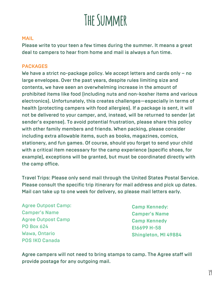

#### MAIL

Please write to your teen a few times during the summer. It means a great deal to campers to hear from home and mail is always a fun time.

#### PACKAGES

We have a strict no-package policy. We accept letters and cards only – no large envelopes. Over the past years, despite rules limiting size and contents, we have seen an overwhelming increase in the amount of prohibited items like food (including nuts and non-kosher items and various electronics). Unfortunately, this creates challenges—especially in terms of health (protecting campers with food allergies). If a package is sent, it will not be delivered to your camper, and, instead, will be returned to sender (at sender's expense). To avoid potential frustration, please share this policy with other family members and friends. When packing, please consider including extra allowable items, such as books, magazines, comics, stationery, and fun games. Of course, should you forget to send your child with a critical item necessary for the camp experience (specific shoes, for example), exceptions will be granted, but must be coordinated directly with the camp office.

Travel Trips: Please only send mail through the United States Postal Service. Please consult the specific trip itinerary for mail address and pick up dates. Mail can take up to one week for delivery, so please mail letters early.

Agree Outpost Camp: Camper's Name Agree Outpost Camp PO Box 624 Wawa, Ontario POS 1KO Canada

**Camp Kennedy: Camper's Name Camp Kennedy E16699 H-58 Shingleton, MI 49884**

Agree campers will not need to bring stamps to camp. The Agree staff will provide postage for any outgoing mail.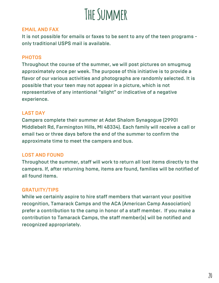### **The Summer**

#### EMAIL AND FAX

It is not possible for emails or faxes to be sent to any of the teen programs only traditional USPS mail is available.

### **PHOTOS**

Throughout the course of the summer, we will post pictures on smugmug approximately once per week. The purpose of this initiative is to provide a flavor of our various activities and photographs are randomly selected. It is possible that your teen may not appear in a picture, which is not representative of any intentional "slight" or indicative of a negative experience.

### LAST DAY

Campers complete their summer at Adat Shalom Synagogue (29901 Middlebelt Rd, Farmington Hills, MI 48334). Each family will receive a call or email two or three days before the end of the summer to confirm the approximate time to meet the campers and bus.

### LOST AND FOUND

Throughout the summer, staff will work to return all lost items directly to the campers. If, after returning home, items are found, families will be notified of all found items.

### GRATUITY/TIPS

While we certainly aspire to hire staff members that warrant your positive recognition, Tamarack Camps and the ACA (American Camp Association) prefer a contribution to the camp in honor of a staff member. If you make a contribution to Tamarack Camps, the staff member(s) will be notified and recognized appropriately.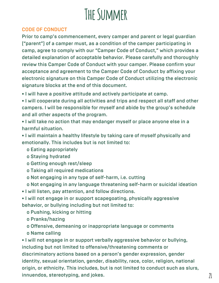### **The Summer**

### CODE OF CONDUCT

Prior to camp's commencement, every camper and parent or legal guardian ("parent") of a camper must, as a condition of the camper participating in camp, agree to comply with our "Camper Code of Conduct," which provides a detailed explanation of acceptable behavior. Please carefully and thoroughly review this Camper Code of Conduct with your camper. Please confirm your acceptance and agreement to the Camper Code of Conduct by affixing your electronic signature on this Camper Code of Conduct utilizing the electronic signature blocks at the end of this document.

• I will have a positive attitude and actively participate at camp.

• I will cooperate during all activities and trips and respect all staff and other campers. I will be responsible for myself and abide by the group's schedule and all other aspects of the program.

• I will take no action that may endanger myself or place anyone else in a harmful situation.

• I will maintain a healthy lifestyle by taking care of myself physically and emotionally. This includes but is not limited to:

- o Eating appropriately
- o Staying hydrated
- o Getting enough rest/sleep
- o Taking all required medications
- o Not engaging in any type of self-harm, i.e. cutting
- o Not engaging in any language threatening self-harm or suicidal ideation
- I will listen, pay attention, and follow directions.
- I will not engage in or support scapegoating, physically aggressive behavior, or bullying including but not limited to:
	- o Pushing, kicking or hitting
	- o Pranks/hazing
	- o Offensive, demeaning or inappropriate language or comments
	- o Name calling

• I will not engage in or support verbally aggressive behavior or bullying, including but not limited to offensive/threatening comments or discriminatory actions based on a person's gender expression, gender identity, sexual orientation, gender, disability, race, color, religion, national origin, or ethnicity. This includes, but is not limited to conduct such as slurs,  $\lvert$  innuendos, stereotyping, and jokes.  $\lvert$   $\rvert$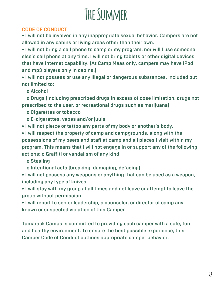### **The Summer**

### CODE OF CONDUCT

• I will not be involved in any inappropriate sexual behavior. Campers are not allowed in any cabins or living areas other than their own.

• I will not bring a cell phone to camp or my program, nor will I use someone else's cell phone at any time. I will not bring tablets or other digital devices that have internet capability. (At Camp Maas only, campers may have iPod and mp3 players only in cabins.)

• I will not possess or use any illegal or dangerous substances, included but not limited to:

o Alcohol

o Drugs (including prescribed drugs in excess of dose limitation, drugs not prescribed to the user, or recreational drugs such as marijuana)

o Cigarettes or tobacco

o E-cigarettes, vapes and/or juuls

• I will not pierce or tattoo any parts of my body or another's body.

• I will respect the property of camp and campgrounds, along with the possessions of my peers and staff at camp and all places I visit within my program. This means that I will not engage in or support any of the following actions: o Graffiti or vandalism of any kind

o Stealing

o Intentional acts (breaking, damaging, defacing)

• I will not possess any weapons or anything that can be used as a weapon, including any type of knives.

• I will stay with my group at all times and not leave or attempt to leave the group without permission.

• I will report to senior leadership, a counselor, or director of camp any known or suspected violation of this Camper

Tamarack Camps is committed to providing each camper with a safe, fun and healthy environment. To ensure the best possible experience, this Camper Code of Conduct outlines appropriate camper behavior.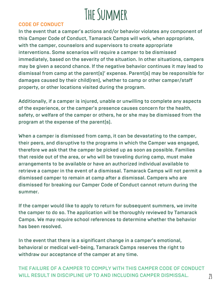

### CODE OF CONDUCT

In the event that a camper's actions and/or behavior violates any component of this Camper Code of Conduct, Tamarack Camps will work, when appropriate, with the camper, counselors and supervisors to create appropriate interventions. Some scenarios will require a camper to be dismissed immediately, based on the severity of the situation. In other situations, campers may be given a second chance. If the negative behavior continues it may lead to dismissal from camp at the parent(s)' expense. Parent(s) may be responsible for damages caused by their child(ren), whether to camp or other camper/staff property, or other locations visited during the program.

Additionally, if a camper is injured, unable or unwilling to complete any aspects of the experience, or the camper's presence causes concern for the health, safety, or welfare of the camper or others, he or she may be dismissed from the program at the expense of the parent(s).

When a camper is dismissed from camp, it can be devastating to the camper, their peers, and disruptive to the programs in which the Camper was engaged, therefore we ask that the camper be picked up as soon as possible. Families that reside out of the area, or who will be traveling during camp, must make arrangements to be available or have an authorized individual available to retrieve a camper in the event of a dismissal. Tamarack Camps will not permit a dismissed camper to remain at camp after a dismissal. Campers who are dismissed for breaking our Camper Code of Conduct cannot return during the summer.

If the camper would like to apply to return for subsequent summers, we invite the camper to do so. The application will be thoroughly reviewed by Tamarack Camps. We may require school references to determine whether the behavior has been resolved.

In the event that there is a significant change in a camper's emotional, behavioral or medical well-being, Tamarack Camps reserves the right to withdraw our acceptance of the camper at any time.

### THE FAILURE OF A CAMPER TO COMPLY WITH THIS CAMPER CODE OF CONDUCT WILL RESULT IN DISCIPLINE UP TO AND INCLUDING CAMPER DISMISSAL.